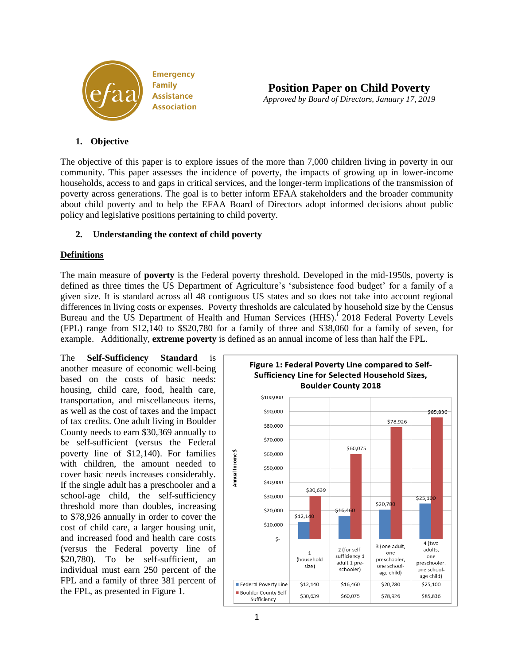

**Position Paper on Child Poverty** *Approved by Board of Directors, January 17, 2019*

# **1. Objective**

The objective of this paper is to explore issues of the more than 7,000 children living in poverty in our community. This paper assesses the incidence of poverty, the impacts of growing up in lower-income households, access to and gaps in critical services, and the longer-term implications of the transmission of poverty across generations. The goal is to better inform EFAA stakeholders and the broader community about child poverty and to help the EFAA Board of Directors adopt informed decisions about public policy and legislative positions pertaining to child poverty.

### **2. Understanding the context of child poverty**

### **Definitions**

The main measure of **poverty** is the Federal poverty threshold. Developed in the mid-1950s, poverty is defined as three times the US Department of Agriculture's 'subsistence food budget' for a family of a given size. It is standard across all 48 contiguous US states and so does not take into account regional differences in living costs or expenses. Poverty thresholds are calculated by household size by the Census Bureau and the US Department of Health and Human Services (HHS).<sup>1</sup> 2018 Federal Poverty Levels (FPL) range from \$12,140 to \$\$20,780 for a family of three and \$38,060 for a family of seven, for example. Additionally, **extreme poverty** is defined as an annual income of less than half the FPL.

The **Self-Sufficiency Standard** is another measure of economic well-being based on the costs of basic needs: housing, child care, food, health care, transportation, and miscellaneous items, as well as the cost of taxes and the impact of tax credits. One adult living in Boulder County needs to earn \$30,369 annually to be self-sufficient (versus the Federal poverty line of \$12,140). For families with children, the amount needed to cover basic needs increases considerably. If the single adult has a preschooler and a school-age child, the self-sufficiency threshold more than doubles, increasing to \$78,926 annually in order to cover the cost of child care, a larger housing unit, and increased food and health care costs (versus the Federal poverty line of \$20,780). To be self-sufficient, an individual must earn 250 percent of the FPL and a family of three 381 percent of the FPL, as presented in Figure 1.

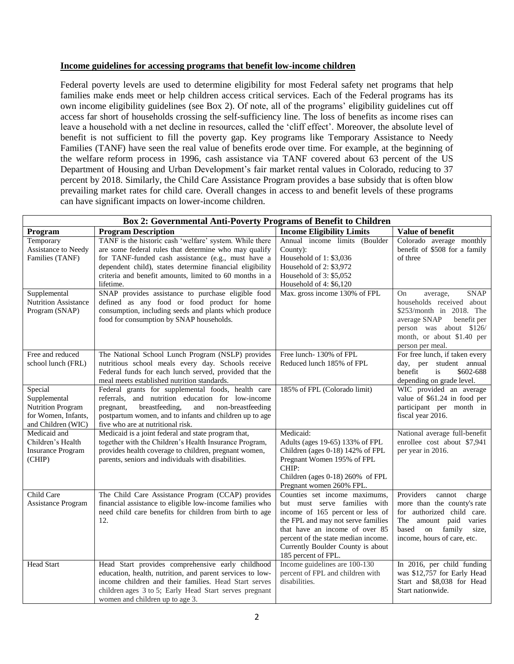#### **Income guidelines for accessing programs that benefit low-income children**

Federal poverty levels are used to determine eligibility for most Federal safety net programs that help families make ends meet or help children access critical services. Each of the Federal programs has its own income eligibility guidelines (see Box 2). Of note, all of the programs' eligibility guidelines cut off access far short of households crossing the self-sufficiency line. The loss of benefits as income rises can leave a household with a net decline in resources, called the 'cliff effect'. Moreover, the absolute level of benefit is not sufficient to fill the poverty gap. Key programs like Temporary Assistance to Needy Families (TANF) have seen the real value of benefits erode over time. For example, at the beginning of the welfare reform process in 1996, cash assistance via TANF covered about 63 percent of the US Department of Housing and Urban Development's fair market rental values in Colorado, reducing to 37 percent by 2018. Similarly, the Child Care Assistance Program provides a base subsidy that is often blow prevailing market rates for child care. Overall changes in access to and benefit levels of these programs can have significant impacts on lower-income children.

| <b>Box 2: Governmental Anti-Poverty Programs of Benefit to Children</b>                          |                                                                                                                                                                                                                                                                                                            |                                                                                                                                                                                                                                                                              |                                                                                                                                                                                                           |  |  |
|--------------------------------------------------------------------------------------------------|------------------------------------------------------------------------------------------------------------------------------------------------------------------------------------------------------------------------------------------------------------------------------------------------------------|------------------------------------------------------------------------------------------------------------------------------------------------------------------------------------------------------------------------------------------------------------------------------|-----------------------------------------------------------------------------------------------------------------------------------------------------------------------------------------------------------|--|--|
| Program                                                                                          | <b>Program Description</b>                                                                                                                                                                                                                                                                                 | <b>Income Eligibility Limits</b>                                                                                                                                                                                                                                             | Value of benefit                                                                                                                                                                                          |  |  |
| Temporary<br>Assistance to Needy<br>Families (TANF)                                              | TANF is the historic cash 'welfare' system. While there<br>are some federal rules that determine who may qualify<br>for TANF-funded cash assistance (e.g., must have a<br>dependent child), states determine financial eligibility<br>criteria and benefit amounts, limited to 60 months in a<br>lifetime. | Annual income limits (Boulder<br>County):<br>Household of 1: \$3,036<br>Household of 2: \$3,972<br>Household of $3: $5,052$<br>Household of 4: \$6,120                                                                                                                       | Colorado average monthly<br>benefit of \$508 for a family<br>of three                                                                                                                                     |  |  |
| Supplemental<br><b>Nutrition Assistance</b><br>Program (SNAP)                                    | SNAP provides assistance to purchase eligible food<br>defined as any food or food product for home<br>consumption, including seeds and plants which produce<br>food for consumption by SNAP households.                                                                                                    | Max. gross income 130% of FPL                                                                                                                                                                                                                                                | <b>SNAP</b><br><b>On</b><br>average,<br>households received about<br>\$253/month in 2018. The<br>average SNAP<br>benefit per<br>person was about \$126/<br>month, or about \$1.40 per<br>person per meal. |  |  |
| Free and reduced<br>school lunch (FRL)                                                           | The National School Lunch Program (NSLP) provides<br>nutritious school meals every day. Schools receive<br>Federal funds for each lunch served, provided that the<br>meal meets established nutrition standards.                                                                                           | Free lunch-130% of FPL<br>Reduced lunch 185% of FPL                                                                                                                                                                                                                          | For free lunch, if taken every<br>day, per student annual<br>benefit<br>is<br>\$602-688<br>depending on grade level.                                                                                      |  |  |
| Special<br>Supplemental<br><b>Nutrition Program</b><br>for Women, Infants,<br>and Children (WIC) | Federal grants for supplemental foods, health care<br>referrals, and nutrition education for low-income<br>pregnant,<br>breastfeeding,<br>and<br>non-breastfeeding<br>postpartum women, and to infants and children up to age<br>five who are at nutritional risk.                                         | 185% of FPL (Colorado limit)                                                                                                                                                                                                                                                 | WIC provided an average<br>value of \$61.24 in food per<br>participant per month in<br>fiscal year 2016.                                                                                                  |  |  |
| Medicaid and<br>Children's Health<br><b>Insurance Program</b><br>(CHIP)                          | Medicaid is a joint federal and state program that,<br>together with the Children's Health Insurance Program,<br>provides health coverage to children, pregnant women,<br>parents, seniors and individuals with disabilities.                                                                              | Medicaid:<br>Adults (ages 19-65) 133% of FPL<br>Children (ages 0-18) 142% of FPL<br>Pregnant Women 195% of FPL<br>CHIP:<br>Children (ages 0-18) 260% of FPL<br>Pregnant women 260% FPL.                                                                                      | National average full-benefit<br>enrollee cost about \$7,941<br>per year in 2016.                                                                                                                         |  |  |
| Child Care<br>Assistance Program                                                                 | The Child Care Assistance Program (CCAP) provides<br>financial assistance to eligible low-income families who<br>need child care benefits for children from birth to age<br>12.                                                                                                                            | Counties set income maximums,<br>but must serve families with<br>income of 165 percent or less of<br>the FPL and may not serve families<br>that have an income of over 85<br>percent of the state median income.<br>Currently Boulder County is about<br>185 percent of FPL. | Providers<br>cannot<br>charge<br>more than the county's rate<br>for authorized child care.<br>The amount paid varies<br>based<br>on family<br>size.<br>income, hours of care, etc.                        |  |  |
| <b>Head Start</b>                                                                                | Head Start provides comprehensive early childhood<br>education, health, nutrition, and parent services to low-<br>income children and their families. Head Start serves<br>children ages 3 to 5; Early Head Start serves pregnant<br>women and children up to age 3.                                       | Income guidelines are 100-130<br>percent of FPL and children with<br>disabilities.                                                                                                                                                                                           | In 2016, per child funding<br>was \$12,757 for Early Head<br>Start and \$8,038 for Head<br>Start nationwide.                                                                                              |  |  |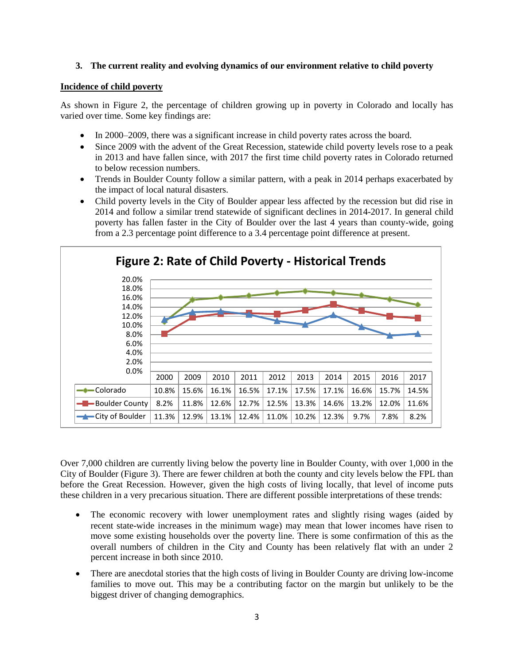### **3. The current reality and evolving dynamics of our environment relative to child poverty**

#### **Incidence of child poverty**

As shown in Figure 2, the percentage of children growing up in poverty in Colorado and locally has varied over time. Some key findings are:

- In 2000–2009, there was a significant increase in child poverty rates across the board.
- Since 2009 with the advent of the Great Recession, statewide child poverty levels rose to a peak in 2013 and have fallen since, with 2017 the first time child poverty rates in Colorado returned to below recession numbers.
- Trends in Boulder County follow a similar pattern, with a peak in 2014 perhaps exacerbated by the impact of local natural disasters.
- Child poverty levels in the City of Boulder appear less affected by the recession but did rise in 2014 and follow a similar trend statewide of significant declines in 2014-2017. In general child poverty has fallen faster in the City of Boulder over the last 4 years than county-wide, going from a 2.3 percentage point difference to a 3.4 percentage point difference at present.



Over 7,000 children are currently living below the poverty line in Boulder County, with over 1,000 in the City of Boulder (Figure 3). There are fewer children at both the county and city levels below the FPL than before the Great Recession. However, given the high costs of living locally, that level of income puts these children in a very precarious situation. There are different possible interpretations of these trends:

- The economic recovery with lower unemployment rates and slightly rising wages (aided by recent state-wide increases in the minimum wage) may mean that lower incomes have risen to move some existing households over the poverty line. There is some confirmation of this as the overall numbers of children in the City and County has been relatively flat with an under 2 percent increase in both since 2010.
- There are anecdotal stories that the high costs of living in Boulder County are driving low-income families to move out. This may be a contributing factor on the margin but unlikely to be the biggest driver of changing demographics.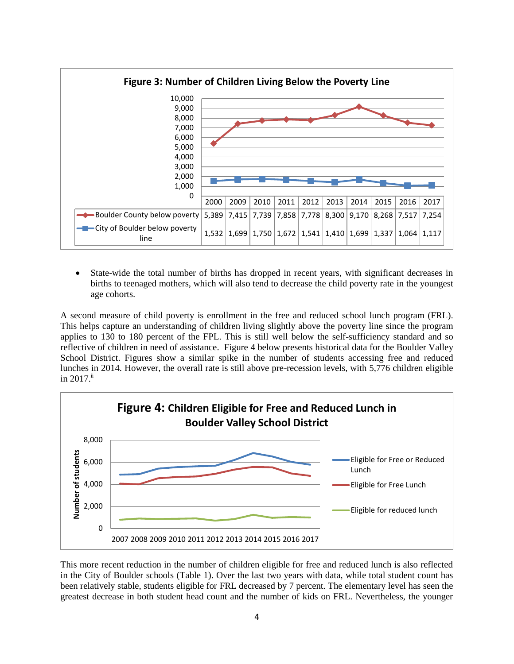

 State-wide the total number of births has dropped in recent years, with significant decreases in births to teenaged mothers, which will also tend to decrease the child poverty rate in the youngest age cohorts.

A second measure of child poverty is enrollment in the free and reduced school lunch program (FRL). This helps capture an understanding of children living slightly above the poverty line since the program applies to 130 to 180 percent of the FPL. This is still well below the self-sufficiency standard and so reflective of children in need of assistance. Figure 4 below presents historical data for the Boulder Valley School District. Figures show a similar spike in the number of students accessing free and reduced lunches in 2014. However, the overall rate is still above pre-recession levels, with 5,776 children eligible in 2017. ii



This more recent reduction in the number of children eligible for free and reduced lunch is also reflected in the City of Boulder schools (Table 1). Over the last two years with data, while total student count has been relatively stable, students eligible for FRL decreased by 7 percent. The elementary level has seen the greatest decrease in both student head count and the number of kids on FRL. Nevertheless, the younger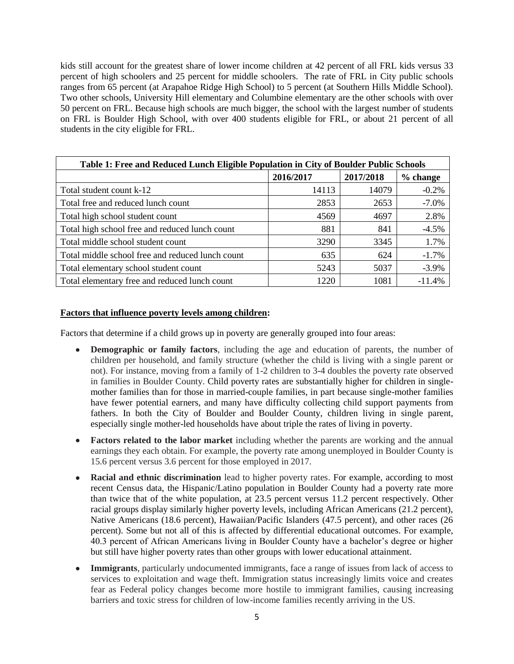kids still account for the greatest share of lower income children at 42 percent of all FRL kids versus 33 percent of high schoolers and 25 percent for middle schoolers. The rate of FRL in City public schools ranges from 65 percent (at Arapahoe Ridge High School) to 5 percent (at Southern Hills Middle School). Two other schools, University Hill elementary and Columbine elementary are the other schools with over 50 percent on FRL. Because high schools are much bigger, the school with the largest number of students on FRL is Boulder High School, with over 400 students eligible for FRL, or about 21 percent of all students in the city eligible for FRL.

| Table 1: Free and Reduced Lunch Eligible Population in City of Boulder Public Schools |           |           |          |  |  |  |
|---------------------------------------------------------------------------------------|-----------|-----------|----------|--|--|--|
|                                                                                       | 2016/2017 | 2017/2018 | % change |  |  |  |
| Total student count k-12                                                              | 14113     | 14079     | $-0.2%$  |  |  |  |
| Total free and reduced lunch count                                                    | 2853      | 2653      | $-7.0\%$ |  |  |  |
| Total high school student count                                                       | 4569      | 4697      | 2.8%     |  |  |  |
| Total high school free and reduced lunch count                                        | 881       | 841       | $-4.5%$  |  |  |  |
| Total middle school student count                                                     | 3290      | 3345      | 1.7%     |  |  |  |
| Total middle school free and reduced lunch count                                      | 635       | 624       | $-1.7%$  |  |  |  |
| Total elementary school student count                                                 | 5243      | 5037      | $-3.9\%$ |  |  |  |
| Total elementary free and reduced lunch count                                         | 1220      | 1081      | $-11.4%$ |  |  |  |

### **Factors that influence poverty levels among children:**

Factors that determine if a child grows up in poverty are generally grouped into four areas:

- **Demographic or family factors**, including the age and education of parents, the number of children per household, and family structure (whether the child is living with a single parent or not). For instance, moving from a family of 1-2 children to 3-4 doubles the poverty rate observed in families in Boulder County. Child poverty rates are substantially higher for children in singlemother families than for those in married-couple families, in part because single-mother families have fewer potential earners, and many have difficulty collecting child support payments from fathers. In both the City of Boulder and Boulder County, children living in single parent, especially single mother-led households have about triple the rates of living in poverty.
- **Factors related to the labor market** including whether the parents are working and the annual earnings they each obtain. For example, the poverty rate among unemployed in Boulder County is 15.6 percent versus 3.6 percent for those employed in 2017.
- **Racial and ethnic discrimination** lead to higher poverty rates. For example, according to most recent Census data, the Hispanic/Latino population in Boulder County had a poverty rate more than twice that of the white population, at 23.5 percent versus 11.2 percent respectively. Other racial groups display similarly higher poverty levels, including African Americans (21.2 percent), Native Americans (18.6 percent), Hawaiian/Pacific Islanders (47.5 percent), and other races (26 percent). Some but not all of this is affected by differential educational outcomes. For example, 40.3 percent of African Americans living in Boulder County have a bachelor's degree or higher but still have higher poverty rates than other groups with lower educational attainment.
- **Immigrants**, particularly undocumented immigrants, face a range of issues from lack of access to services to exploitation and wage theft. Immigration status increasingly limits voice and creates fear as Federal policy changes become more hostile to immigrant families, causing increasing barriers and toxic stress for children of low-income families recently arriving in the US.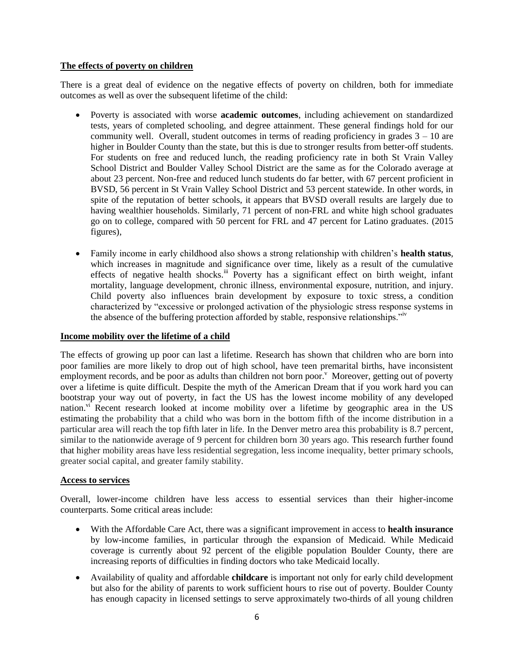### **The effects of poverty on children**

There is a great deal of evidence on the negative effects of poverty on children, both for immediate outcomes as well as over the subsequent lifetime of the child:

- Poverty is associated with worse **academic outcomes**, including achievement on standardized tests, years of completed schooling, and degree attainment. These general findings hold for our community well. Overall, student outcomes in terms of reading proficiency in grades  $3 - 10$  are higher in Boulder County than the state, but this is due to stronger results from better-off students. For students on free and reduced lunch, the reading proficiency rate in both St Vrain Valley School District and Boulder Valley School District are the same as for the Colorado average at about 23 percent. Non-free and reduced lunch students do far better, with 67 percent proficient in BVSD, 56 percent in St Vrain Valley School District and 53 percent statewide. In other words, in spite of the reputation of better schools, it appears that BVSD overall results are largely due to having wealthier households. Similarly, 71 percent of non-FRL and white high school graduates go on to college, compared with 50 percent for FRL and 47 percent for Latino graduates. (2015 figures),
- Family income in early childhood also shows a strong relationship with children's **health status**, which increases in magnitude and significance over time, likely as a result of the cumulative effects of negative health shocks.<sup>iii</sup> Poverty has a significant effect on birth weight, infant mortality, language development, chronic illness, environmental exposure, nutrition, and injury. Child poverty also influences brain development by exposure to toxic stress, a condition characterized by "excessive or prolonged activation of the physiologic stress response systems in the absence of the buffering protection afforded by stable, responsive relationships."iv

#### **Income mobility over the lifetime of a child**

The effects of growing up poor can last a lifetime. Research has shown that children who are born into poor families are more likely to drop out of high school, have teen premarital births, have inconsistent employment records, and be poor as adults than children not born poor. $\degree$  Moreover, getting out of poverty over a lifetime is quite difficult. Despite the myth of the American Dream that if you work hard you can bootstrap your way out of poverty, in fact the US has the lowest income mobility of any developed nation.<sup>vi</sup> Recent research looked at income mobility over a lifetime by geographic area in the US estimating the probability that a child who was born in the bottom fifth of the income distribution in a particular area will reach the top fifth later in life. In the Denver metro area this probability is 8.7 percent, similar to the nationwide average of 9 percent for children born 30 years ago. This research further found that higher mobility areas have less residential segregation, less income inequality, better primary schools, greater social capital, and greater family stability.

#### **Access to services**

Overall, lower-income children have less access to essential services than their higher-income counterparts. Some critical areas include:

- With the Affordable Care Act, there was a significant improvement in access to **health insurance** by low-income families, in particular through the expansion of Medicaid. While Medicaid coverage is currently about 92 percent of the eligible population Boulder County, there are increasing reports of difficulties in finding doctors who take Medicaid locally.
- Availability of quality and affordable **childcare** is important not only for early child development but also for the ability of parents to work sufficient hours to rise out of poverty. Boulder County has enough capacity in licensed settings to serve approximately two-thirds of all young children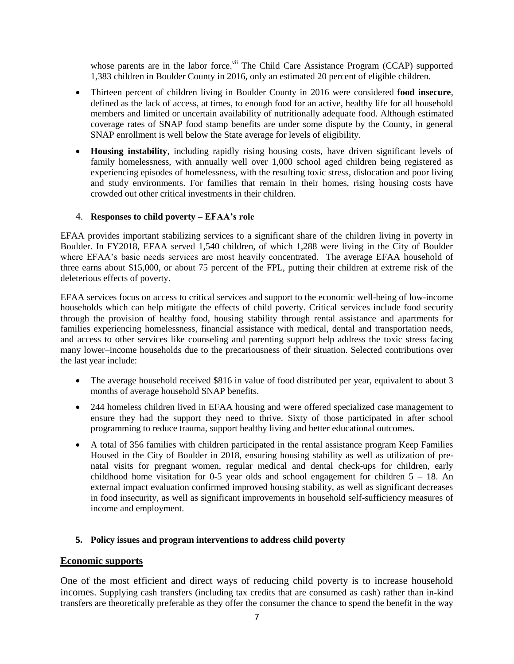whose parents are in the labor force.<sup>vii</sup> The Child Care Assistance Program (CCAP) supported 1,383 children in Boulder County in 2016, only an estimated 20 percent of eligible children.

- Thirteen percent of children living in Boulder County in 2016 were considered **food insecure**, defined as the lack of access, at times, to enough food for an active, healthy life for all household members and limited or uncertain availability of nutritionally adequate food. Although estimated coverage rates of SNAP food stamp benefits are under some dispute by the County, in general SNAP enrollment is well below the State average for levels of eligibility.
- **Housing instability**, including rapidly rising housing costs, have driven significant levels of family homelessness, with annually well over 1,000 school aged children being registered as experiencing episodes of homelessness, with the resulting toxic stress, dislocation and poor living and study environments. For families that remain in their homes, rising housing costs have crowded out other critical investments in their children.

# 4. **Responses to child poverty – EFAA's role**

EFAA provides important stabilizing services to a significant share of the children living in poverty in Boulder. In FY2018, EFAA served 1,540 children, of which 1,288 were living in the City of Boulder where EFAA's basic needs services are most heavily concentrated. The average EFAA household of three earns about \$15,000, or about 75 percent of the FPL, putting their children at extreme risk of the deleterious effects of poverty.

EFAA services focus on access to critical services and support to the economic well-being of low-income households which can help mitigate the effects of child poverty. Critical services include food security through the provision of healthy food, housing stability through rental assistance and apartments for families experiencing homelessness, financial assistance with medical, dental and transportation needs, and access to other services like counseling and parenting support help address the toxic stress facing many lower–income households due to the precariousness of their situation. Selected contributions over the last year include:

- The average household received \$816 in value of food distributed per year, equivalent to about 3 months of average household SNAP benefits.
- 244 homeless children lived in EFAA housing and were offered specialized case management to ensure they had the support they need to thrive. Sixty of those participated in after school programming to reduce trauma, support healthy living and better educational outcomes.
- A total of 356 families with children participated in the rental assistance program Keep Families Housed in the City of Boulder in 2018, ensuring housing stability as well as utilization of prenatal visits for pregnant women, regular medical and dental check-ups for children, early childhood home visitation for 0-5 year olds and school engagement for children  $5 - 18$ . An external impact evaluation confirmed improved housing stability, as well as significant decreases in food insecurity, as well as significant improvements in household self-sufficiency measures of income and employment.

### **5. Policy issues and program interventions to address child poverty**

### **Economic supports**

One of the most efficient and direct ways of reducing child poverty is to increase household incomes. Supplying cash transfers (including tax credits that are consumed as cash) rather than in-kind transfers are theoretically preferable as they offer the consumer the chance to spend the benefit in the way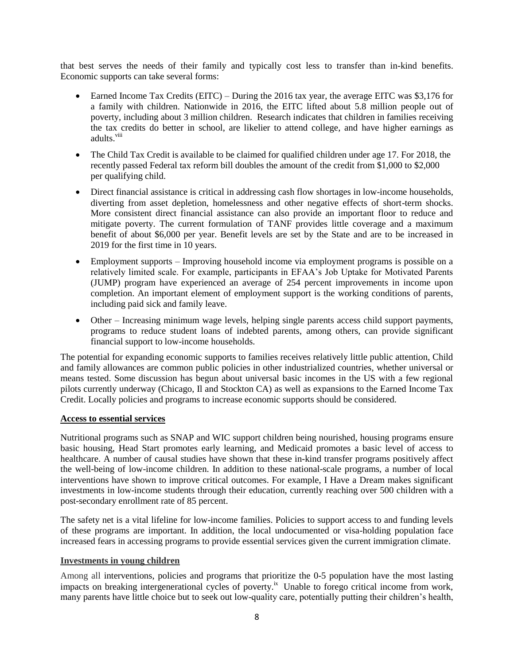that best serves the needs of their family and typically cost less to transfer than in-kind benefits. Economic supports can take several forms:

- Earned Income Tax Credits (EITC) During the 2016 tax year, the average EITC was \$3,176 for a family with children. Nationwide in 2016, the EITC lifted about 5.8 million people out of poverty, including about 3 million children. Research indicates that children in families receiving the tax credits do better in school, are likelier to attend college, and have higher earnings as adults.<sup>viii</sup>
- The Child Tax Credit is available to be claimed for qualified children under age 17. For 2018, the recently passed Federal tax reform bill doubles the amount of the credit from \$1,000 to \$2,000 per qualifying child.
- Direct financial assistance is critical in addressing cash flow shortages in low-income households, diverting from asset depletion, homelessness and other negative effects of short-term shocks. More consistent direct financial assistance can also provide an important floor to reduce and mitigate poverty. The current formulation of TANF provides little coverage and a maximum benefit of about \$6,000 per year. Benefit levels are set by the State and are to be increased in 2019 for the first time in 10 years.
- Employment supports Improving household income via employment programs is possible on a relatively limited scale. For example, participants in EFAA's Job Uptake for Motivated Parents (JUMP) program have experienced an average of 254 percent improvements in income upon completion. An important element of employment support is the working conditions of parents, including paid sick and family leave.
- Other Increasing minimum wage levels, helping single parents access child support payments, programs to reduce student loans of indebted parents, among others, can provide significant financial support to low-income households.

The potential for expanding economic supports to families receives relatively little public attention, Child and family allowances are common public policies in other industrialized countries, whether universal or means tested. Some discussion has begun about universal basic incomes in the US with a few regional pilots currently underway (Chicago, Il and Stockton CA) as well as expansions to the Earned Income Tax Credit. Locally policies and programs to increase economic supports should be considered.

### **Access to essential services**

Nutritional programs such as SNAP and WIC support children being nourished, housing programs ensure basic housing, Head Start promotes early learning, and Medicaid promotes a basic level of access to healthcare. A number of causal studies have shown that these in-kind transfer programs positively affect the well-being of low-income children. In addition to these national-scale programs, a number of local interventions have shown to improve critical outcomes. For example, I Have a Dream makes significant investments in low-income students through their education, currently reaching over 500 children with a post-secondary enrollment rate of 85 percent.

The safety net is a vital lifeline for low-income families. Policies to support access to and funding levels of these programs are important. In addition, the local undocumented or visa-holding population face increased fears in accessing programs to provide essential services given the current immigration climate.

#### **Investments in young children**

Among all interventions, policies and programs that prioritize the 0-5 population have the most lasting impacts on breaking intergenerational cycles of poverty.<sup>ix</sup> Unable to forego critical income from work, many parents have little choice but to seek out low-quality care, potentially putting their children's health,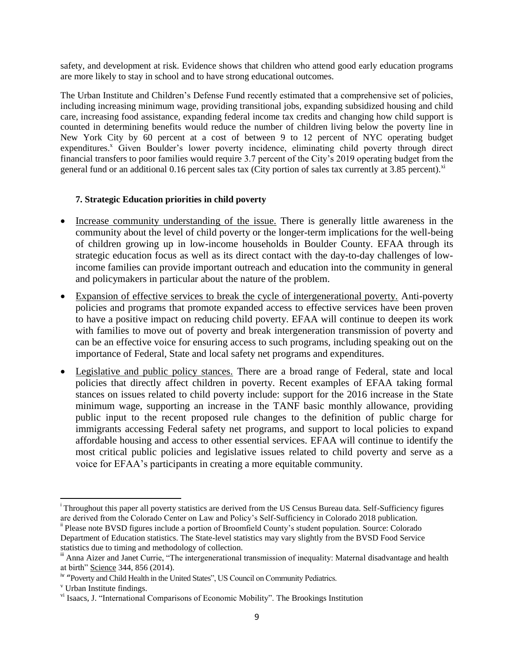safety, and development at risk. Evidence shows that children who attend good early education programs are more likely to stay in school and to have strong educational outcomes.

The Urban Institute and Children's Defense Fund recently estimated that a comprehensive set of policies, including increasing minimum wage, providing transitional jobs, expanding subsidized housing and child care, increasing food assistance, expanding federal income tax credits and changing how child support is counted in determining benefits would reduce the number of children living below the poverty line in New York City by 60 percent at a cost of between 9 to 12 percent of NYC operating budget expenditures.<sup>x</sup> Given Boulder's lower poverty incidence, eliminating child poverty through direct financial transfers to poor families would require 3.7 percent of the City's 2019 operating budget from the general fund or an additional 0.16 percent sales tax (City portion of sales tax currently at 3.85 percent). $^{x}$ 

# **7. Strategic Education priorities in child poverty**

- Increase community understanding of the issue. There is generally little awareness in the community about the level of child poverty or the longer-term implications for the well-being of children growing up in low-income households in Boulder County. EFAA through its strategic education focus as well as its direct contact with the day-to-day challenges of lowincome families can provide important outreach and education into the community in general and policymakers in particular about the nature of the problem.
- Expansion of effective services to break the cycle of intergenerational poverty. Anti-poverty policies and programs that promote expanded access to effective services have been proven to have a positive impact on reducing child poverty. EFAA will continue to deepen its work with families to move out of poverty and break intergeneration transmission of poverty and can be an effective voice for ensuring access to such programs, including speaking out on the importance of Federal, State and local safety net programs and expenditures.
- Legislative and public policy stances. There are a broad range of Federal, state and local policies that directly affect children in poverty. Recent examples of EFAA taking formal stances on issues related to child poverty include: support for the 2016 increase in the State minimum wage, supporting an increase in the TANF basic monthly allowance, providing public input to the recent proposed rule changes to the definition of public charge for immigrants accessing Federal safety net programs, and support to local policies to expand affordable housing and access to other essential services. EFAA will continue to identify the most critical public policies and legislative issues related to child poverty and serve as a voice for EFAA's participants in creating a more equitable community.

 $\overline{a}$ 

<sup>&</sup>lt;sup>i</sup> Throughout this paper all poverty statistics are derived from the US Census Bureau data. Self-Sufficiency figures are derived from the Colorado Center on Law and Policy's Self-Sufficiency in Colorado 2018 publication.

ii Please note BVSD figures include a portion of Broomfield County's student population. Source: Colorado Department of Education statistics. The State-level statistics may vary slightly from the BVSD Food Service statistics due to timing and methodology of collection.

<sup>&</sup>lt;sup>iii</sup> Anna Aizer and Janet Currie, "The intergenerational transmission of inequality: Maternal disadvantage and health at birth" Science 344, 856 (2014).

<sup>&</sup>lt;sup>iv</sup> "Poverty and Child Health in the United States", US Council on Community Pediatrics.

<sup>v</sup> Urban Institute findings.

vi Isaacs, J. "International Comparisons of Economic Mobility". The Brookings Institution